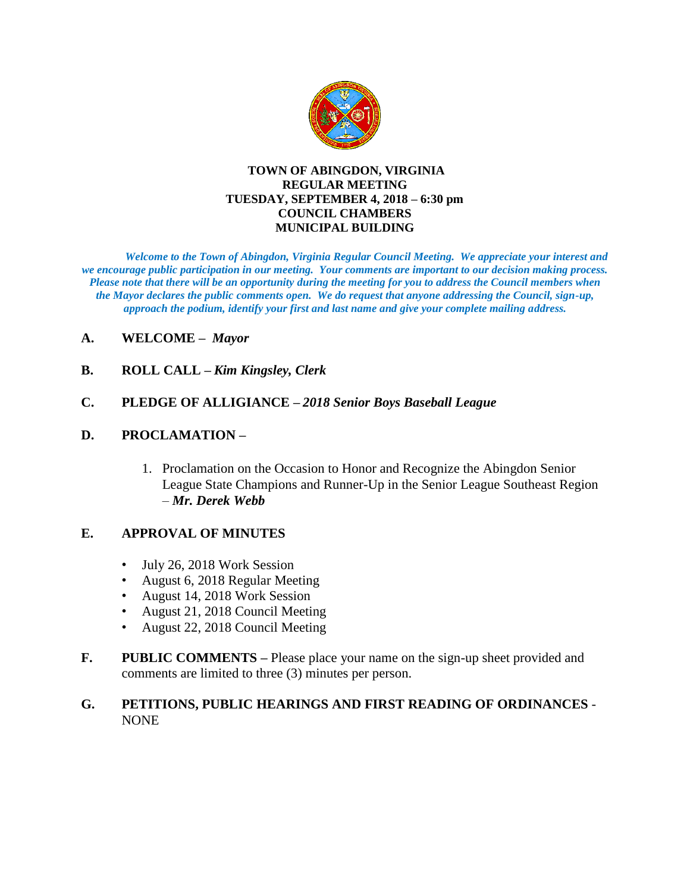

#### **TOWN OF ABINGDON, VIRGINIA REGULAR MEETING TUESDAY, SEPTEMBER 4, 2018 – 6:30 pm COUNCIL CHAMBERS MUNICIPAL BUILDING**

*Welcome to the Town of Abingdon, Virginia Regular Council Meeting. We appreciate your interest and we encourage public participation in our meeting. Your comments are important to our decision making process. Please note that there will be an opportunity during the meeting for you to address the Council members when the Mayor declares the public comments open. We do request that anyone addressing the Council, sign-up, approach the podium, identify your first and last name and give your complete mailing address.* 

- **A. WELCOME –** *Mayor*
- **B. ROLL CALL –** *Kim Kingsley, Clerk*

# **C. PLEDGE OF ALLIGIANCE –** *2018 Senior Boys Baseball League*

# **D. PROCLAMATION –**

1. Proclamation on the Occasion to Honor and Recognize the Abingdon Senior League State Champions and Runner-Up in the Senior League Southeast Region – *Mr. Derek Webb*

# **E. APPROVAL OF MINUTES**

- July 26, 2018 Work Session
- August 6, 2018 Regular Meeting
- August 14, 2018 Work Session
- August 21, 2018 Council Meeting
- August 22, 2018 Council Meeting
- **F. PUBLIC COMMENTS –** Please place your name on the sign-up sheet provided and comments are limited to three (3) minutes per person.

# **G. PETITIONS, PUBLIC HEARINGS AND FIRST READING OF ORDINANCES** - **NONE**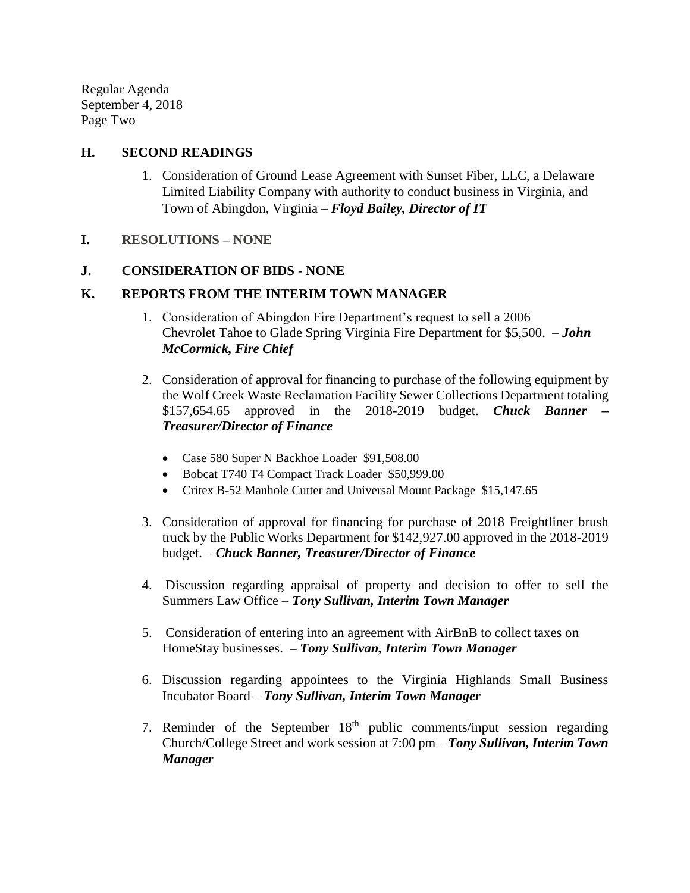Regular Agenda September 4, 2018 Page Two

#### **H. SECOND READINGS**

- 1. Consideration of Ground Lease Agreement with Sunset Fiber, LLC, a Delaware Limited Liability Company with authority to conduct business in Virginia, and Town of Abingdon, Virginia – *Floyd Bailey, Director of IT*
- **I. RESOLUTIONS – NONE**

### **J. CONSIDERATION OF BIDS - NONE**

## **K. REPORTS FROM THE INTERIM TOWN MANAGER**

- 1. Consideration of Abingdon Fire Department's request to sell a 2006 Chevrolet Tahoe to Glade Spring Virginia Fire Department for \$5,500. – *John McCormick, Fire Chief*
- 2. Consideration of approval for financing to purchase of the following equipment by the Wolf Creek Waste Reclamation Facility Sewer Collections Department totaling \$157,654.65 approved in the 2018-2019 budget. *Chuck Banner – Treasurer/Director of Finance*
	- Case 580 Super N Backhoe Loader \$91,508.00
	- Bobcat T740 T4 Compact Track Loader \$50,999.00
	- Critex B-52 Manhole Cutter and Universal Mount Package \$15,147.65
- 3. Consideration of approval for financing for purchase of 2018 Freightliner brush truck by the Public Works Department for \$142,927.00 approved in the 2018-2019 budget. – *Chuck Banner, Treasurer/Director of Finance*
- 4. Discussion regarding appraisal of property and decision to offer to sell the Summers Law Office – *Tony Sullivan, Interim Town Manager*
- 5. Consideration of entering into an agreement with AirBnB to collect taxes on HomeStay businesses. – *Tony Sullivan, Interim Town Manager*
- 6. Discussion regarding appointees to the Virginia Highlands Small Business Incubator Board – *Tony Sullivan, Interim Town Manager*
- 7. Reminder of the September  $18<sup>th</sup>$  public comments/input session regarding Church/College Street and work session at 7:00 pm – *Tony Sullivan, Interim Town Manager*